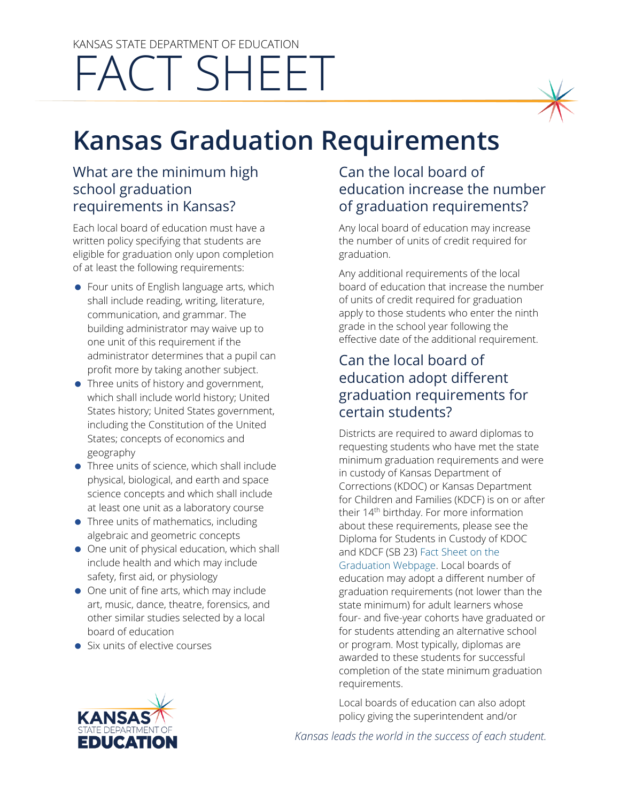# KANSAS STATE DEPARTMENT OF EDUCATION FACT SHEET



#### What are the minimum high school graduation requirements in Kansas?

Each local board of education must have a written policy specifying that students are eligible for graduation only upon completion of at least the following requirements:

- Four units of English language arts, which shall include reading, writing, literature, communication, and grammar. The building administrator may waive up to one unit of this requirement if the administrator determines that a pupil can profit more by taking another subject.
- Three units of history and government, which shall include world history; United States history; United States government, including the Constitution of the United States; concepts of economics and geography
- Three units of science, which shall include physical, biological, and earth and space science concepts and which shall include at least one unit as a laboratory course
- Three units of mathematics, including algebraic and geometric concepts
- One unit of physical education, which shall include health and which may include safety, first aid, or physiology
- One unit of fine arts, which may include art, music, dance, theatre, forensics, and other similar studies selected by a local board of education
- Six units of elective courses

## Can the local board of education increase the number of graduation requirements?

Any local board of education may increase the number of units of credit required for graduation.

Any additional requirements of the local board of education that increase the number of units of credit required for graduation apply to those students who enter the ninth grade in the school year following the effective date of the additional requirement.

## Can the local board of education adopt different graduation requirements for certain students?

Districts are required to award diplomas to requesting students who have met the state minimum graduation requirements and were in custody of Kansas Department of Corrections (KDOC) or Kansas Department for Children and Families (KDCF) is on or after their 14<sup>th</sup> birthday. For more information about these requirements, please see the Diploma for Students in Custody of KDOC and KDCF (SB 23) [Fact Sheet on the](https://www.ksde.org/Agency/Division-of-Learning-Services/Teacher-Licensure-and-Accreditation/Graduation-and-Schools-of-Choice/Graduation-and-Dropouts)  [Graduation Webpage.](https://www.ksde.org/Agency/Division-of-Learning-Services/Teacher-Licensure-and-Accreditation/Graduation-and-Schools-of-Choice/Graduation-and-Dropouts) Local boards of education may adopt a different number of graduation requirements (not lower than the state minimum) for adult learners whose four- and five-year cohorts have graduated or for students attending an alternative school or program. Most typically, diplomas are

awarded to these students for successful completion of the state minimum graduation requirements.

Local boards of education can also adopt policy giving the superintendent and/or



*Kansas leads the world in the success of each student.*